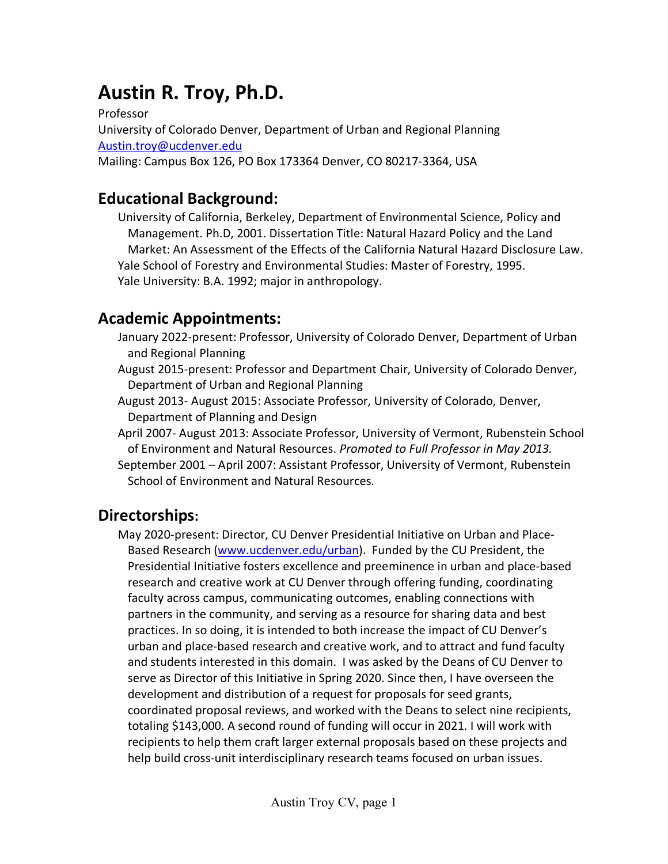# **Austin R. Troy, Ph.D.**

Professor University of Colorado Denver, Department of Urban and Regional Planning [Austin.troy@ucdenver.edu](mailto:Austin.troy@ucdenver.edu) Mailing: Campus Box 126, PO Box 173364 Denver, CO 80217-3364, USA

# **Educational Background:**

University of California, Berkeley, Department of Environmental Science, Policy and Management. Ph.D, 2001. Dissertation Title: Natural Hazard Policy and the Land Market: An Assessment of the Effects of the California Natural Hazard Disclosure Law. Yale School of Forestry and Environmental Studies: Master of Forestry, 1995. Yale University: B.A. 1992; major in anthropology.

# **Academic Appointments:**

- January 2022-present: Professor, University of Colorado Denver, Department of Urban and Regional Planning
- August 2015-present: Professor and Department Chair, University of Colorado Denver, Department of Urban and Regional Planning
- August 2013- August 2015: Associate Professor, University of Colorado, Denver, Department of Planning and Design
- April 2007- August 2013: Associate Professor, University of Vermont, Rubenstein School of Environment and Natural Resources. *Promoted to Full Professor in May 2013.*
- September 2001 April 2007: Assistant Professor, University of Vermont, Rubenstein School of Environment and Natural Resources*.*

# **Directorships:**

May 2020-present: Director, CU Denver Presidential Initiative on Urban and Place-Based Research [\(www.ucdenver.edu/urban\)](http://www.ucdenver.edu/urban). Funded by the CU President, the Presidential Initiative fosters excellence and preeminence in urban and place-based research and creative work at CU Denver through offering funding, coordinating faculty across campus, communicating outcomes, enabling connections with partners in the community, and serving as a resource for sharing data and best practices. In so doing, it is intended to both increase the impact of CU Denver's urban and place-based research and creative work, and to attract and fund faculty and students interested in this domain. I was asked by the Deans of CU Denver to serve as Director of this Initiative in Spring 2020. Since then, I have overseen the development and distribution of a request for proposals for seed grants, coordinated proposal reviews, and worked with the Deans to select nine recipients, totaling \$143,000. A second round of funding will occur in 2021. I will work with recipients to help them craft larger external proposals based on these projects and help build cross-unit interdisciplinary research teams focused on urban issues.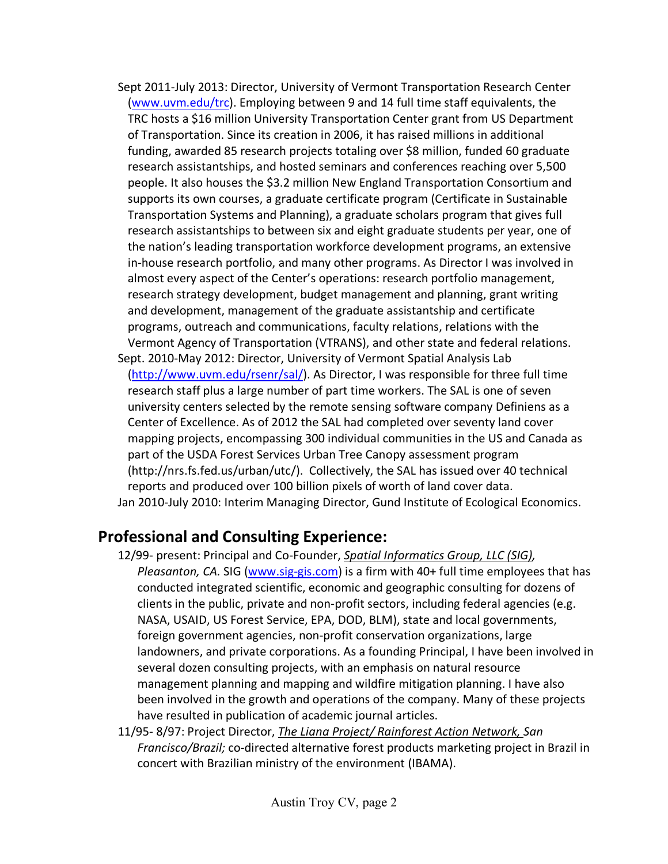- Sept 2011-July 2013: Director, University of Vermont Transportation Research Center [\(www.uvm.edu/trc\)](http://www.uvm.edu/trc). Employing between 9 and 14 full time staff equivalents, the TRC hosts a \$16 million University Transportation Center grant from US Department of Transportation. Since its creation in 2006, it has raised millions in additional funding, awarded 85 research projects totaling over \$8 million, funded 60 graduate research assistantships, and hosted seminars and conferences reaching over 5,500 people. It also houses the \$3.2 million New England Transportation Consortium and supports its own courses, a graduate certificate program (Certificate in Sustainable Transportation Systems and Planning), a graduate scholars program that gives full research assistantships to between six and eight graduate students per year, one of the nation's leading transportation workforce development programs, an extensive in-house research portfolio, and many other programs. As Director I was involved in almost every aspect of the Center's operations: research portfolio management, research strategy development, budget management and planning, grant writing and development, management of the graduate assistantship and certificate programs, outreach and communications, faculty relations, relations with the Vermont Agency of Transportation (VTRANS), and other state and federal relations.
- Sept. 2010-May 2012: Director, University of Vermont Spatial Analysis Lab [\(http://www.uvm.edu/rsenr/sal/\)](http://www.uvm.edu/rsenr/sal/). As Director, I was responsible for three full time research staff plus a large number of part time workers. The SAL is one of seven university centers selected by the remote sensing software company Definiens as a Center of Excellence. As of 2012 the SAL had completed over seventy land cover mapping projects, encompassing 300 individual communities in the US and Canada as part of the USDA Forest Services Urban Tree Canopy assessment program (http://nrs.fs.fed.us/urban/utc/). Collectively, the SAL has issued over 40 technical reports and produced over 100 billion pixels of worth of land cover data. Jan 2010-July 2010: Interim Managing Director, Gund Institute of Ecological Economics.

# **Professional and Consulting Experience:**

- 12/99- present: Principal and Co-Founder, *Spatial Informatics Group, LLC (SIG), Pleasanton, CA.* SIG [\(www.sig-gis.com\)](http://www.sig-gis.com/) is a firm with 40+ full time employees that has conducted integrated scientific, economic and geographic consulting for dozens of clients in the public, private and non-profit sectors, including federal agencies (e.g. NASA, USAID, US Forest Service, EPA, DOD, BLM), state and local governments, foreign government agencies, non-profit conservation organizations, large landowners, and private corporations. As a founding Principal, I have been involved in several dozen consulting projects, with an emphasis on natural resource management planning and mapping and wildfire mitigation planning. I have also been involved in the growth and operations of the company. Many of these projects have resulted in publication of academic journal articles.
- 11/95- 8/97: Project Director, *The Liana Project/ Rainforest Action Network, San Francisco/Brazil;* co-directed alternative forest products marketing project in Brazil in concert with Brazilian ministry of the environment (IBAMA).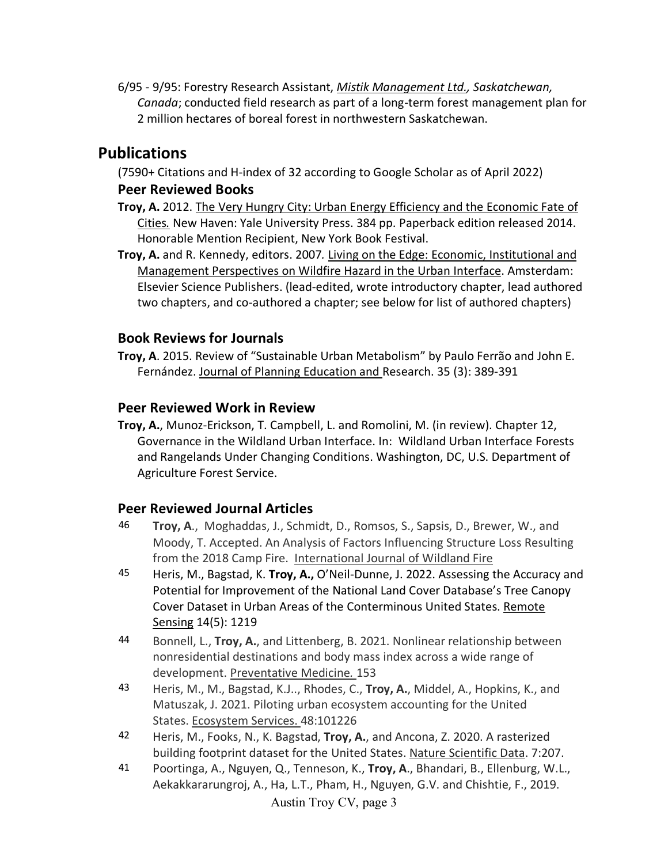6/95 - 9/95: Forestry Research Assistant, *Mistik Management Ltd., Saskatchewan, Canada*; conducted field research as part of a long-term forest management plan for 2 million hectares of boreal forest in northwestern Saskatchewan.

# **Publications**

(7590+ Citations and H-index of 32 according to Google Scholar as of April 2022)

### **Peer Reviewed Books**

- **Troy, A.** 2012. The Very Hungry City: Urban Energy Efficiency and the Economic Fate of Cities*.* New Haven: Yale University Press. 384 pp. Paperback edition released 2014. Honorable Mention Recipient, New York Book Festival.
- **Troy, A.** and R. Kennedy, editors. 2007*.* Living on the Edge: Economic, Institutional and Management Perspectives on Wildfire Hazard in the Urban Interface. Amsterdam: Elsevier Science Publishers. (lead-edited, wrote introductory chapter, lead authored two chapters, and co-authored a chapter; see below for list of authored chapters)

# **Book Reviews for Journals**

**Troy, A**. 2015. Review of "Sustainable Urban Metabolism" by Paulo Ferrão and John E. Fernández. Journal of Planning Education and Research. 35 (3): 389-391

### **Peer Reviewed Work in Review**

**Troy, A.**, Munoz-Erickson, T. Campbell, L. and Romolini, M. (in review). Chapter 12, Governance in the Wildland Urban Interface. In: Wildland Urban Interface Forests and Rangelands Under Changing Conditions. Washington, DC, U.S. Department of Agriculture Forest Service.

# **Peer Reviewed Journal Articles**

- 46 **Troy, A**., Moghaddas, J., Schmidt, D., Romsos, S., Sapsis, D., Brewer, W., and Moody, T. Accepted. An Analysis of Factors Influencing Structure Loss Resulting from the 2018 Camp Fire. International Journal of Wildland Fire
- 45 Heris, M., Bagstad, K. **Troy, A.,** O'Neil-Dunne, J. 2022. Assessing the Accuracy and Potential for Improvement of the National Land Cover Database's Tree Canopy Cover Dataset in Urban Areas of the Conterminous United States. Remote Sensing 14(5): 1219
- 44 Bonnell, L., **Troy, A.**, and Littenberg, B. 2021. Nonlinear relationship between nonresidential destinations and body mass index across a wide range of development. Preventative Medicine*.* 153
- 43 Heris, M., M., Bagstad, K.J.., Rhodes, C., **Troy, A.**, Middel, A., Hopkins, K., and Matuszak, J. 2021. Piloting urban ecosystem accounting for the United States. Ecosystem Services. 48:101226
- 42 Heris, M., Fooks, N., K. Bagstad, **Troy, A.**, and Ancona, Z. 2020. A rasterized building footprint dataset for the United States. Nature Scientific Data. 7:207.
- Austin Troy CV, page 3 41 Poortinga, A., Nguyen, Q., Tenneson, K., **Troy, A**., Bhandari, B., Ellenburg, W.L., Aekakkararungroj, A., Ha, L.T., Pham, H., Nguyen, G.V. and Chishtie, F., 2019.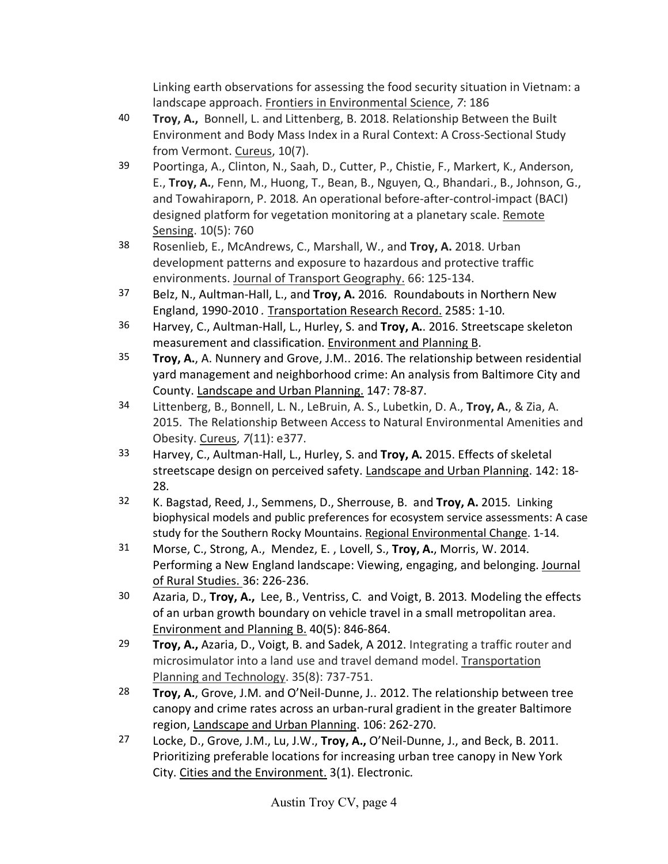Linking earth observations for assessing the food security situation in Vietnam: a landscape approach. Frontiers in Environmental Science, *7*: 186

- 40 **Troy, A.,** Bonnell, L. and Littenberg, B. 2018. Relationship Between the Built Environment and Body Mass Index in a Rural Context: A Cross-Sectional Study from Vermont. Cureus, 10(7).
- 39 Poortinga, A., Clinton, N., Saah, D., Cutter, P., Chistie, F., Markert, K., Anderson, E., **Troy, A.**, Fenn, M., Huong, T., Bean, B., Nguyen, Q., Bhandari., B., Johnson, G., and Towahiraporn, P. 2018*.* An operational before-after-control-impact (BACI) designed platform for vegetation monitoring at a planetary scale. Remote Sensing. 10(5): 760
- 38 Rosenlieb, E., McAndrews, C., Marshall, W., and **Troy, A.** 2018. Urban development patterns and exposure to hazardous and protective traffic environments. Journal of Transport Geography. 66: 125-134.
- 37 Belz, N., Aultman-Hall, L., and **Troy, A.** 2016*.* Roundabouts in Northern New England, 1990-2010 *.* Transportation Research Record. 2585: 1-10.
- 36 Harvey, C., Aultman-Hall, L., Hurley, S. and **Troy, A.**. 2016. Streetscape skeleton measurement and classification. Environment and Planning B.
- 35 **Troy, A.**, A. Nunnery and Grove, J.M.. 2016. The relationship between residential yard management and neighborhood crime: An analysis from Baltimore City and County. Landscape and Urban Planning. 147: 78-87.
- 34 Littenberg, B., Bonnell, L. N., LeBruin, A. S., Lubetkin, D. A., **Troy, A.**, & Zia, A. 2015. The Relationship Between Access to Natural Environmental Amenities and Obesity. Cureus, *7*(11): e377.
- 33 Harvey, C., Aultman-Hall, L., Hurley, S. and **Troy, A.** 2015. Effects of skeletal streetscape design on perceived safety. Landscape and Urban Planning. 142: 18- 28.
- 32 K. Bagstad, Reed, J., Semmens, D., Sherrouse, B. and **Troy, A.** 2015*.* Linking biophysical models and public preferences for ecosystem service assessments: A case study for the Southern Rocky Mountains. Regional Environmental Change. 1-14.
- 31 Morse, C., Strong, A., Mendez, E. , Lovell, S., **Troy, A.**, Morris, W. 2014. Performing a New England landscape: Viewing, engaging, and belonging. Journal of Rural Studies. 36: 226-236.
- 30 Azaria, D., **Troy, A.,** Lee, B., Ventriss, C. and Voigt, B. 2013*.* Modeling the effects of an urban growth boundary on vehicle travel in a small metropolitan area. Environment and Planning B. 40(5): 846-864.
- 29 **Troy, A.,** Azaria, D., Voigt, B. and Sadek, A 2012. Integrating a traffic router and microsimulator into a land use and travel demand model. Transportation Planning and Technology. 35(8): 737-751.
- 28 **Troy, A.**, Grove, J.M. and O'Neil-Dunne, J.. 2012. The relationship between tree canopy and crime rates across an urban-rural gradient in the greater Baltimore region, Landscape and Urban Planning. 106: 262-270.
- 27 Locke, D., Grove, J.M., Lu, J.W., **Troy, A.,** O'Neil-Dunne, J., and Beck, B. 2011. Prioritizing preferable locations for increasing urban tree canopy in New York City. Cities and the Environment. 3(1). Electronic*.*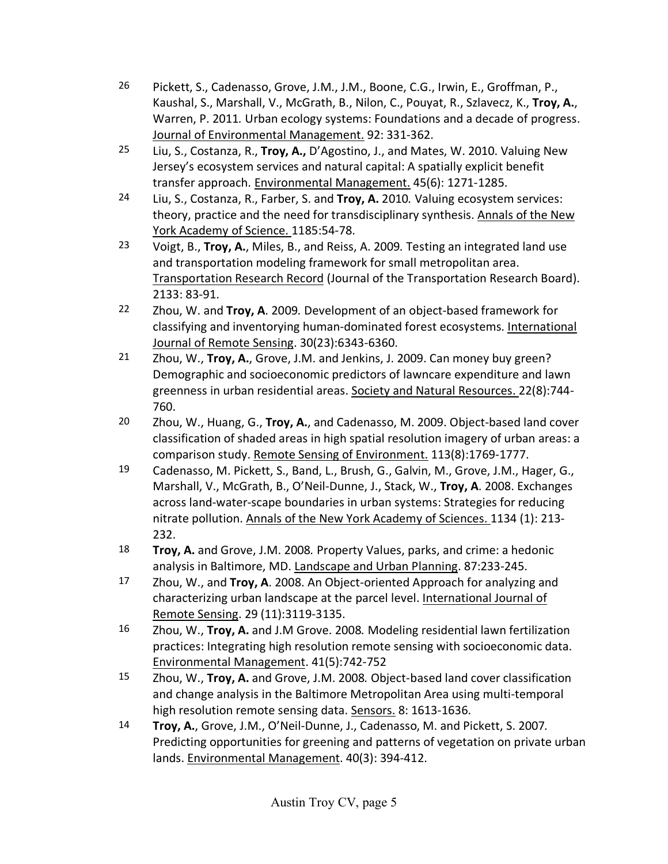- 26 Pickett, S., Cadenasso, Grove, J.M., J.M., Boone, C.G., Irwin, E., Groffman, P., Kaushal, S., Marshall, V., McGrath, B., Nilon, C., Pouyat, R., Szlavecz, K., **Troy, A.**, Warren, P. 2011*.* Urban ecology systems: Foundations and a decade of progress. Journal of Environmental Management. 92: 331-362.
- 25 Liu, S., Costanza, R., **Troy, A.,** D'Agostino, J., and Mates, W. 2010. Valuing New Jersey's ecosystem services and natural capital: A spatially explicit benefit transfer approach. Environmental Management. 45(6): 1271-1285.
- 24 Liu, S., Costanza, R., Farber, S. and **Troy, A.** 2010*.* Valuing ecosystem services: theory, practice and the need for transdisciplinary synthesis. Annals of the New York Academy of Science. 1185:54-78.
- 23 Voigt, B., **Troy, A.**, Miles, B., and Reiss, A. 2009*.* Testing an integrated land use and transportation modeling framework for small metropolitan area. Transportation Research Record (Journal of the Transportation Research Board). 2133: 83-91.
- 22 Zhou, W. and **Troy, A**. 2009*.* Development of an object-based framework for classifying and inventorying human-dominated forest ecosystems. International Journal of Remote Sensing. 30(23):6343-6360.
- 21 Zhou, W., **Troy, A.**, Grove, J.M. and Jenkins, J. 2009. Can money buy green? Demographic and socioeconomic predictors of lawncare expenditure and lawn greenness in urban residential areas. Society and Natural Resources. 22(8):744- 760.
- 20 Zhou, W., Huang, G., **Troy, A.**, and Cadenasso, M. 2009. Object-based land cover classification of shaded areas in high spatial resolution imagery of urban areas: a comparison study. Remote Sensing of Environment. 113(8):1769-1777.
- 19 Cadenasso, M. Pickett, S., Band, L., Brush, G., Galvin, M., Grove, J.M., Hager, G., Marshall, V., McGrath, B., O'Neil-Dunne, J., Stack, W., **Troy, A**. 2008. Exchanges across land-water-scape boundaries in urban systems: Strategies for reducing nitrate pollution. Annals of the New York Academy of Sciences. 1134 (1): 213- 232.
- 18 **Troy, A.** and Grove, J.M. 2008*.* Property Values, parks, and crime: a hedonic analysis in Baltimore, MD. Landscape and Urban Planning. 87:233-245.
- 17 Zhou, W., and **Troy, A**. 2008. An Object-oriented Approach for analyzing and characterizing urban landscape at the parcel level. International Journal of Remote Sensing. 29 (11):3119-3135.
- 16 Zhou, W., **Troy, A.** and J.M Grove. 2008*.* Modeling residential lawn fertilization practices: Integrating high resolution remote sensing with socioeconomic data. Environmental Management. 41(5):742-752
- 15 Zhou, W., **Troy, A.** and Grove, J.M. 2008*.* Object-based land cover classification and change analysis in the Baltimore Metropolitan Area using multi-temporal high resolution remote sensing data. Sensors. 8: 1613-1636.
- 14 **Troy, A.**, Grove, J.M., O'Neil-Dunne, J., Cadenasso, M. and Pickett, S. 2007*.*  Predicting opportunities for greening and patterns of vegetation on private urban lands. Environmental Management. 40(3): 394-412.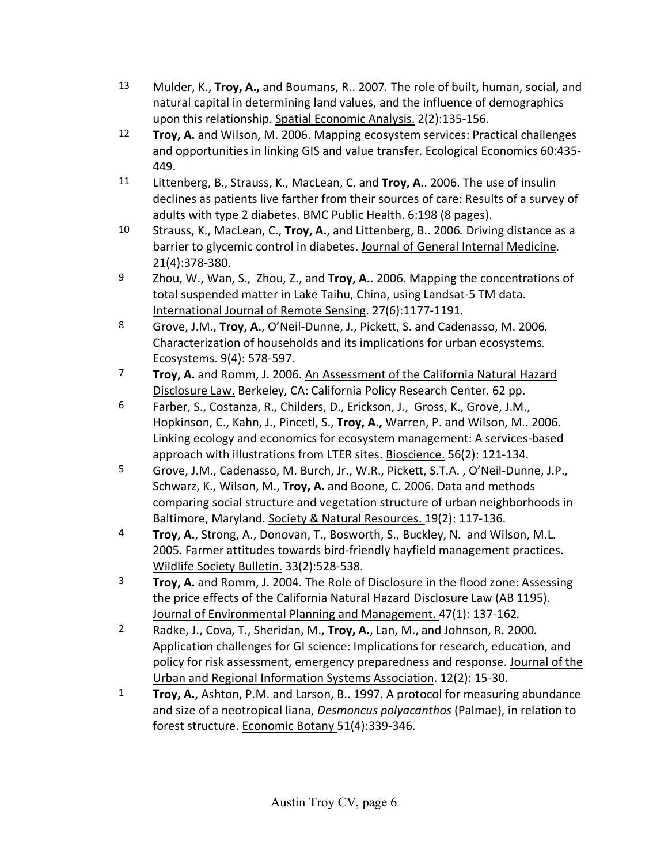- 13 Mulder, K., **Troy, A.,** and Boumans, R.. 2007*.* The role of built, human, social, and natural capital in determining land values, and the influence of demographics upon this relationship. Spatial Economic Analysis. 2(2):135-156.
- 12 **Troy, A.** and Wilson, M. 2006. Mapping ecosystem services: Practical challenges and opportunities in linking GIS and value transfer. Ecological Economics 60:435- 449.
- 11 Littenberg, B., Strauss, K., MacLean, C. and **Troy, A.**. 2006. The use of insulin declines as patients live farther from their sources of care: Results of a survey of adults with type 2 diabetes. BMC Public Health. 6:198 (8 pages).
- 10 Strauss, K., MacLean, C., **Troy, A.**, and Littenberg, B.. 2006*.* Driving distance as a barrier to glycemic control in diabetes. Journal of General Internal Medicine. 21(4):378-380.
- 9 Zhou, W., Wan, S., Zhou, Z., and **Troy, A..** 2006. Mapping the concentrations of total suspended matter in Lake Taihu, China, using Landsat-5 TM data. International Journal of Remote Sensing. 27(6):1177-1191.
- 8 Grove, J.M., **Troy, A.**, O'Neil-Dunne, J., Pickett, S. and Cadenasso, M. 2006*.*  Characterization of households and its implications for urban ecosystems. Ecosystems. 9(4): 578-597.
- 7 **Troy, A.** and Romm, J. 2006. An Assessment of the California Natural Hazard Disclosure Law. Berkeley, CA: California Policy Research Center. 62 pp.
- 6 Farber, S., Costanza, R., Childers, D., Erickson, J., Gross, K., Grove, J.M., Hopkinson, C., Kahn, J., Pincetl, S., **Troy, A.,** Warren, P. and Wilson, M.. 2006. Linking ecology and economics for ecosystem management: A services-based approach with illustrations from LTER sites. Bioscience. 56(2): 121-134.
- 5 Grove, J.M., Cadenasso, M. Burch, Jr., W.R., Pickett, S.T.A. , O'Neil-Dunne, J.P., Schwarz, K., Wilson, M., **Troy, A.** and Boone, C. 2006. Data and methods comparing social structure and vegetation structure of urban neighborhoods in Baltimore, Maryland. Society & Natural Resources. 19(2): 117-136.
- 4 **Troy, A.**, Strong, A., Donovan, T., Bosworth, S., Buckley, N. and Wilson, M.L. 2005*.* Farmer attitudes towards bird-friendly hayfield management practices. Wildlife Society Bulletin. 33(2):528-538.
- 3 **Troy, A.** and Romm, J. 2004. The Role of Disclosure in the flood zone: Assessing the price effects of the California Natural Hazard Disclosure Law (AB 1195). Journal of Environmental Planning and Management. 47(1): 137-162*.*
- 2 Radke, J., Cova, T., Sheridan, M., **Troy, A.**, Lan, M., and Johnson, R. 2000*.*  Application challenges for GI science: Implications for research, education, and policy for risk assessment, emergency preparedness and response. Journal of the Urban and Regional Information Systems Association. 12(2): 15-30.
- 1 **Troy, A.**, Ashton, P.M. and Larson, B.. 1997. A protocol for measuring abundance and size of a neotropical liana, *Desmoncus polyacanthos* (Palmae), in relation to forest structure. Economic Botany 51(4):339-346.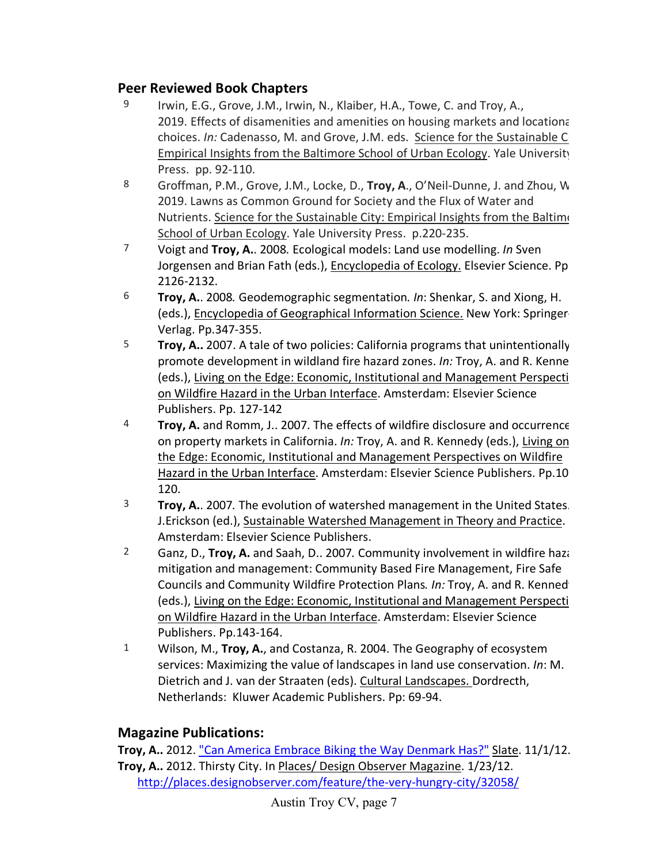### **Peer Reviewed Book Chapters**

- 9 Irwin, E.G., Grove, J.M., Irwin, N., Klaiber, H.A., Towe, C. and Troy, A., 2019. Effects of disamenities and amenities on housing markets and locational choices. *In:* Cadenasso, M. and Grove, J.M. eds. Science for the Sustainable Ci Empirical Insights from the Baltimore School of Urban Ecology. Yale University Press. pp. 92-110.
- 8 Groffman, P.M., Grove, J.M., Locke, D., **Troy, A**., O'Neil-Dunne, J. and Zhou, W 2019. Lawns as Common Ground for Society and the Flux of Water and Nutrients. Science for the Sustainable City: Empirical Insights from the Baltimo School of Urban Ecology. Yale University Press. p.220-235.
- 7 Voigt and **Troy, A.**. 2008*.* Ecological models: Land use modelling. *In* Sven Jorgensen and Brian Fath (eds.), Encyclopedia of Ecology. Elsevier Science. Pp 2126-2132.
- 6 **Troy, A.**. 2008*.* Geodemographic segmentation*. In*: Shenkar, S. and Xiong, H. (eds.), Encyclopedia of Geographical Information Science. New York: Springer-Verlag. Pp.347-355.
- 5 **Troy, A..** 2007. A tale of two policies: California programs that unintentionally promote development in wildland fire hazard zones. *In:* Troy, A. and R. Kenne (eds.), Living on the Edge: Economic, Institutional and Management Perspecti on Wildfire Hazard in the Urban Interface. Amsterdam: Elsevier Science Publishers. Pp. 127-142
- 4 **Troy, A.** and Romm, J.. 2007. The effects of wildfire disclosure and occurrence on property markets in California. *In:* Troy, A. and R. Kennedy (eds.), Living on the Edge: Economic, Institutional and Management Perspectives on Wildfire Hazard in the Urban Interface. Amsterdam: Elsevier Science Publishers. Pp.10 120.
- 3 **Troy, A.**. 2007*.* The evolution of watershed management in the United States. J.Erickson (ed.), Sustainable Watershed Management in Theory and Practice. Amsterdam: Elsevier Science Publishers.
- 2 Ganz, D., **Troy, A.** and Saah, D.. 2007*.* Community involvement in wildfire haza mitigation and management: Community Based Fire Management, Fire Safe Councils and Community Wildfire Protection Plans*. In:* Troy, A. and R. Kennedy (eds.), Living on the Edge: Economic, Institutional and Management Perspecti on Wildfire Hazard in the Urban Interface. Amsterdam: Elsevier Science Publishers. Pp.143-164.
- 1 Wilson, M., **Troy, A.**, and Costanza, R. 2004. The Geography of ecosystem services: Maximizing the value of landscapes in land use conservation. *In*: M. Dietrich and J. van der Straaten (eds). Cultural Landscapes. Dordrecth, Netherlands: Kluwer Academic Publishers. Pp: 69-94.

# **Magazine Publications:**

**Troy, A..** 2012. ["Can America Embrace Biking the Way Denmark Has?"](http://www.slate.com/articles/health_and_science/the_efficient_planet/2012/11/green_wave_can_the_u_s_embrace_biking_like_denmark_has.html) Slate. 11/1/12. **Troy, A..** 2012. Thirsty City. In Places/ Design Observer Magazine. 1/23/12. <http://places.designobserver.com/feature/the-very-hungry-city/32058/>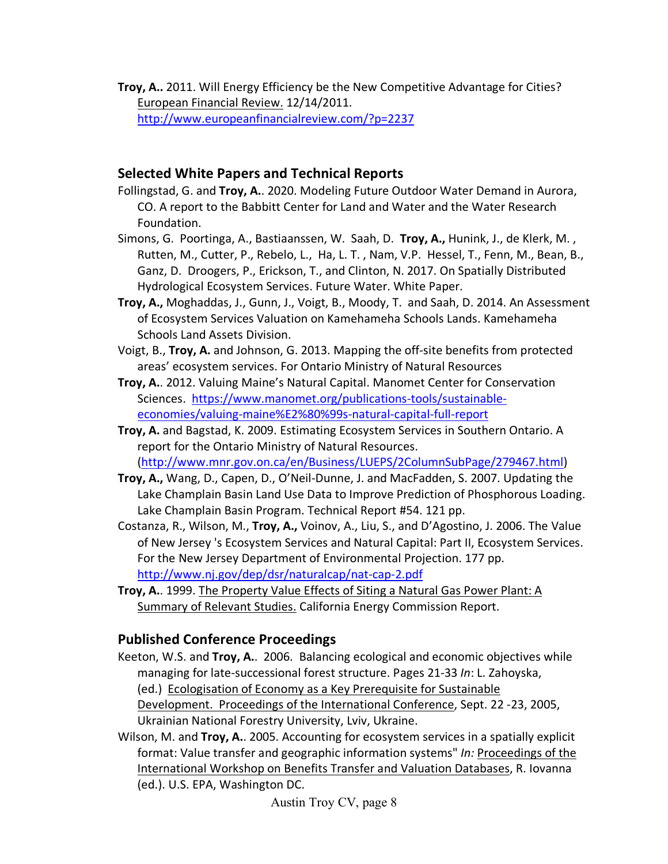**Troy, A..** 2011. Will Energy Efficiency be the New Competitive Advantage for Cities? European Financial Review. 12/14/2011. <http://www.europeanfinancialreview.com/?p=2237>

### **Selected White Papers and Technical Reports**

- Follingstad, G. and **Troy, A.**. 2020. Modeling Future Outdoor Water Demand in Aurora, CO. A report to the Babbitt Center for Land and Water and the Water Research Foundation.
- Simons, G. Poortinga, A., Bastiaanssen, W. Saah, D. **Troy, A.,** Hunink, J., de Klerk, M. , Rutten, M., Cutter, P., Rebelo, L., Ha, L. T. , Nam, V.P. Hessel, T., Fenn, M., Bean, B., Ganz, D. Droogers, P., Erickson, T., and Clinton, N. 2017. On Spatially Distributed Hydrological Ecosystem Services. Future Water. White Paper.
- **Troy, A.,** Moghaddas, J., Gunn, J., Voigt, B., Moody, T. and Saah, D. 2014. An Assessment of Ecosystem Services Valuation on Kamehameha Schools Lands. Kamehameha Schools Land Assets Division.
- Voigt, B., **Troy, A.** and Johnson, G. 2013. Mapping the off-site benefits from protected areas' ecosystem services. For Ontario Ministry of Natural Resources
- **Troy, A.**. 2012. Valuing Maine's Natural Capital. Manomet Center for Conservation Sciences. [https://www.manomet.org/publications-tools/sustainable](https://www.manomet.org/publications-tools/sustainable-economies/valuing-maine%E2%80%99s-natural-capital-full-report)[economies/valuing-maine%E2%80%99s-natural-capital-full-report](https://www.manomet.org/publications-tools/sustainable-economies/valuing-maine%E2%80%99s-natural-capital-full-report)
- **Troy, A.** and Bagstad, K. 2009. Estimating Ecosystem Services in Southern Ontario. A report for the Ontario Ministry of Natural Resources. [\(http://www.mnr.gov.on.ca/en/Business/LUEPS/2ColumnSubPage/279467.html\)](http://www.mnr.gov.on.ca/en/Business/LUEPS/2ColumnSubPage/279467.html)
- **Troy, A.,** Wang, D., Capen, D., O'Neil-Dunne, J. and MacFadden, S. 2007. Updating the Lake Champlain Basin Land Use Data to Improve Prediction of Phosphorous Loading. Lake Champlain Basin Program. Technical Report #54. 121 pp.
- Costanza, R., Wilson, M., **Troy, A.,** Voinov, A., Liu, S., and D'Agostino, J. 2006. The Value of New Jersey 's Ecosystem Services and Natural Capital: Part II, Ecosystem Services. For the New Jersey Department of Environmental Projection. 177 pp. <http://www.nj.gov/dep/dsr/naturalcap/nat-cap-2.pdf>
- **Troy, A.**. 1999. The Property Value Effects of Siting a Natural Gas Power Plant: A Summary of Relevant Studies. California Energy Commission Report.

# **Published Conference Proceedings**

- Keeton, W.S. and **Troy, A.**. 2006. Balancing ecological and economic objectives while managing for late-successional forest structure. Pages 21-33 *In*: L. Zahoyska, (ed.) Ecologisation of Economy as a Key Prerequisite for Sustainable Development. Proceedings of the International Conference, Sept. 22 -23, 2005, Ukrainian National Forestry University, Lviv, Ukraine.
- Wilson, M. and **Troy, A.**. 2005. Accounting for ecosystem services in a spatially explicit format: Value transfer and geographic information systems" *In:* Proceedings of the International Workshop on Benefits Transfer and Valuation Databases, R. Iovanna (ed.). U.S. EPA, Washington DC.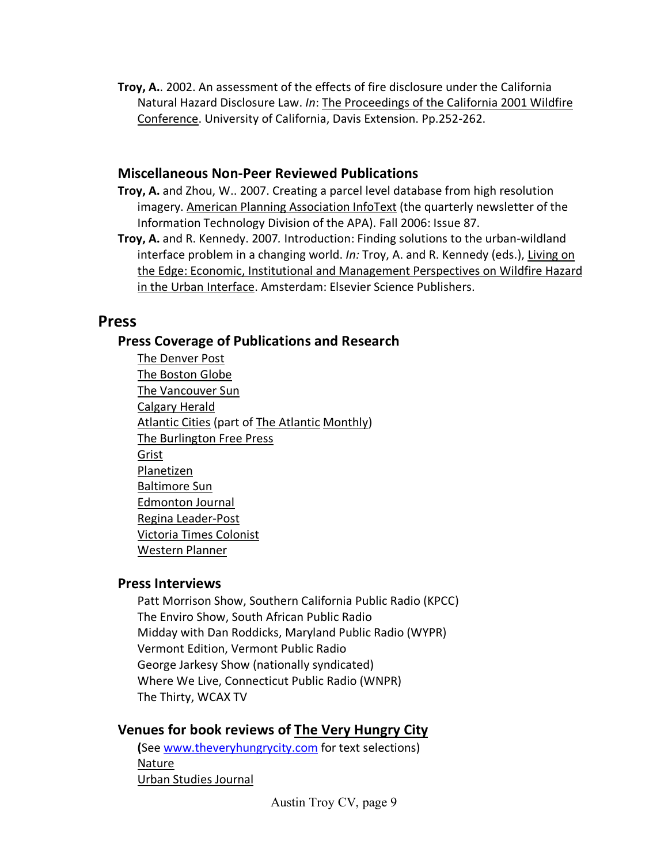**Troy, A.**. 2002. An assessment of the effects of fire disclosure under the California Natural Hazard Disclosure Law. *In*: The Proceedings of the California 2001 Wildfire Conference. University of California, Davis Extension. Pp.252-262.

#### **Miscellaneous Non-Peer Reviewed Publications**

- **Troy, A.** and Zhou, W.. 2007. Creating a parcel level database from high resolution imagery. American Planning Association InfoText (the quarterly newsletter of the Information Technology Division of the APA). Fall 2006: Issue 87.
- **Troy, A.** and R. Kennedy. 2007*.* Introduction: Finding solutions to the urban-wildland interface problem in a changing world. *In:* Troy, A. and R. Kennedy (eds.), Living on the Edge: Economic, Institutional and Management Perspectives on Wildfire Hazard in the Urban Interface. Amsterdam: Elsevier Science Publishers.

# **Press**

### **Press Coverage of Publications and Research**

The Denver Post The Boston Globe The Vancouver Sun Calgary Herald Atlantic Cities (part of The Atlantic Monthly) The Burlington Free Press Grist Planetizen Baltimore Sun Edmonton Journal Regina Leader-Post Victoria Times Colonist Western Planner

### **Press Interviews**

Patt Morrison Show, Southern California Public Radio (KPCC) The Enviro Show, South African Public Radio Midday with Dan Roddicks, Maryland Public Radio (WYPR) Vermont Edition, Vermont Public Radio George Jarkesy Show (nationally syndicated) Where We Live, Connecticut Public Radio (WNPR) The Thirty, WCAX TV

# **Venues for book reviews of The Very Hungry City**

**(**See [www.theveryhungrycity.com](http://www.theveryhungrycity.com/) for text selections) Nature Urban Studies Journal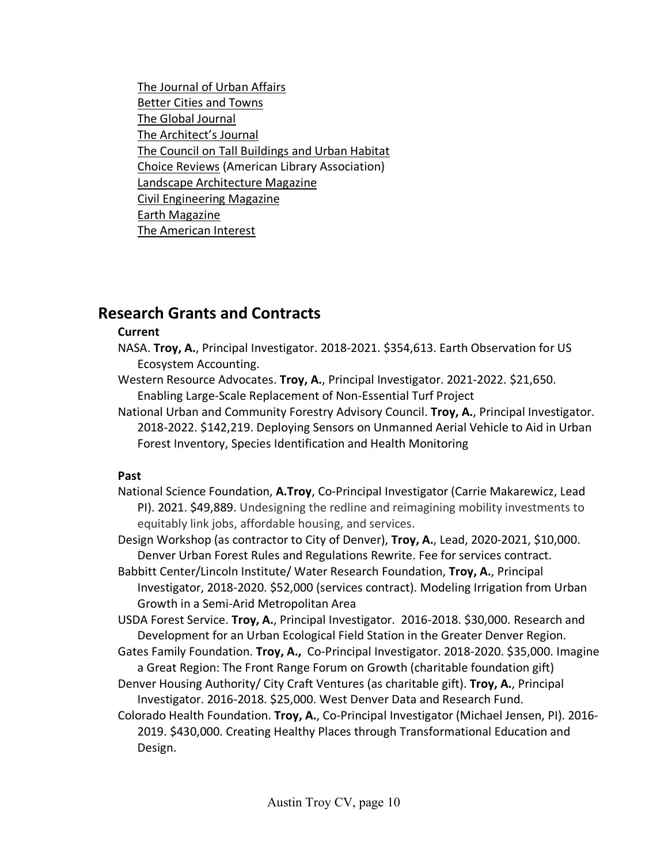The Journal of Urban Affairs Better Cities and Towns The Global Journal The Architect's Journal The Council on Tall Buildings and Urban Habitat Choice Reviews (American Library Association) Landscape Architecture Magazine Civil Engineering Magazine Earth Magazine The American Interest

# **Research Grants and Contracts**

#### **Current**

- NASA. **Troy, A.**, Principal Investigator. 2018-2021. \$354,613. Earth Observation for US Ecosystem Accounting.
- Western Resource Advocates. **Troy, A.**, Principal Investigator. 2021-2022. \$21,650. Enabling Large-Scale Replacement of Non-Essential Turf Project
- National Urban and Community Forestry Advisory Council. **Troy, A.**, Principal Investigator. 2018-2022. \$142,219. Deploying Sensors on Unmanned Aerial Vehicle to Aid in Urban Forest Inventory, Species Identification and Health Monitoring

### **Past**

- National Science Foundation, **A.Troy**, Co-Principal Investigator (Carrie Makarewicz, Lead PI). 2021. \$49,889. Undesigning the redline and reimagining mobility investments to equitably link jobs, affordable housing, and services.
- Design Workshop (as contractor to City of Denver), **Troy, A.**, Lead, 2020-2021, \$10,000. Denver Urban Forest Rules and Regulations Rewrite. Fee for services contract.
- Babbitt Center/Lincoln Institute/ Water Research Foundation, **Troy, A.**, Principal Investigator, 2018-2020. \$52,000 (services contract). Modeling Irrigation from Urban Growth in a Semi-Arid Metropolitan Area
- USDA Forest Service. **Troy, A.**, Principal Investigator. 2016-2018. \$30,000. Research and Development for an Urban Ecological Field Station in the Greater Denver Region.
- Gates Family Foundation. **Troy, A.,** Co-Principal Investigator. 2018-2020. \$35,000. Imagine a Great Region: The Front Range Forum on Growth (charitable foundation gift)
- Denver Housing Authority/ City Craft Ventures (as charitable gift). **Troy, A.**, Principal Investigator. 2016-2018. \$25,000. West Denver Data and Research Fund.
- Colorado Health Foundation. **Troy, A.**, Co-Principal Investigator (Michael Jensen, PI). 2016- 2019. \$430,000. Creating Healthy Places through Transformational Education and Design.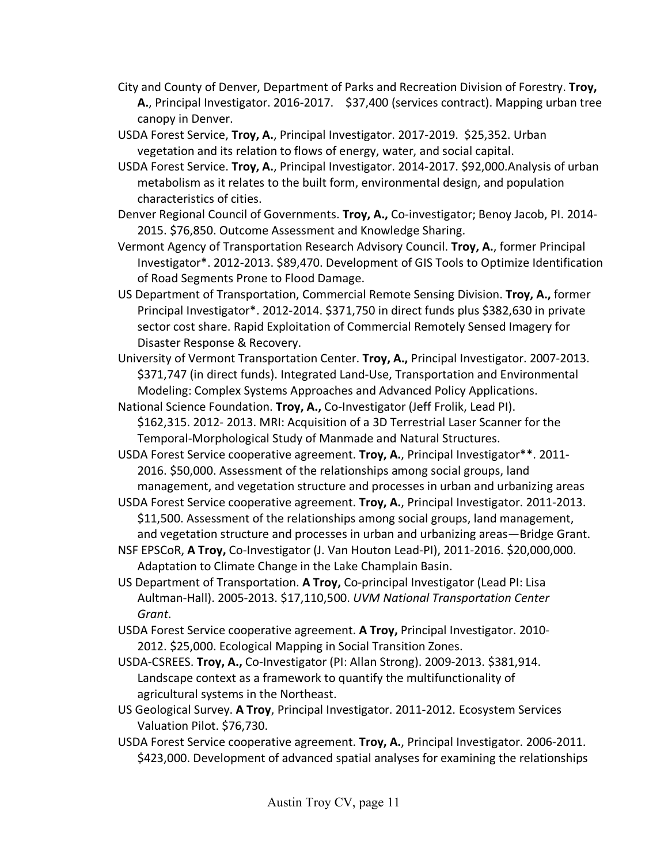- City and County of Denver, Department of Parks and Recreation Division of Forestry. **Troy, A.**, Principal Investigator. 2016-2017. \$37,400 (services contract). Mapping urban tree canopy in Denver.
- USDA Forest Service, **Troy, A.**, Principal Investigator. 2017-2019. \$25,352. Urban vegetation and its relation to flows of energy, water, and social capital.
- USDA Forest Service. **Troy, A.**, Principal Investigator. 2014-2017. \$92,000.Analysis of urban metabolism as it relates to the built form, environmental design, and population characteristics of cities.
- Denver Regional Council of Governments. **Troy, A.,** Co-investigator; Benoy Jacob, PI. 2014- 2015. \$76,850. Outcome Assessment and Knowledge Sharing.
- Vermont Agency of Transportation Research Advisory Council. **Troy, A.**, former Principal Investigator\*. 2012-2013. \$89,470. Development of GIS Tools to Optimize Identification of Road Segments Prone to Flood Damage.
- US Department of Transportation, Commercial Remote Sensing Division. **Troy, A.,** former Principal Investigator\*. 2012-2014. \$371,750 in direct funds plus \$382,630 in private sector cost share. Rapid Exploitation of Commercial Remotely Sensed Imagery for Disaster Response & Recovery.
- University of Vermont Transportation Center. **Troy, A.,** Principal Investigator. 2007-2013. \$371,747 (in direct funds). Integrated Land-Use, Transportation and Environmental Modeling: Complex Systems Approaches and Advanced Policy Applications.
- National Science Foundation. **Troy, A.,** Co-Investigator (Jeff Frolik, Lead PI). \$162,315. 2012- 2013. MRI: Acquisition of a 3D Terrestrial Laser Scanner for the Temporal-Morphological Study of Manmade and Natural Structures.
- USDA Forest Service cooperative agreement. **Troy, A.**, Principal Investigator\*\*. 2011- 2016. \$50,000. Assessment of the relationships among social groups, land management, and vegetation structure and processes in urban and urbanizing areas
- USDA Forest Service cooperative agreement. **Troy, A.**, Principal Investigator. 2011-2013. \$11,500. Assessment of the relationships among social groups, land management, and vegetation structure and processes in urban and urbanizing areas—Bridge Grant.
- NSF EPSCoR, **A Troy,** Co-Investigator (J. Van Houton Lead-PI), 2011-2016. \$20,000,000. Adaptation to Climate Change in the Lake Champlain Basin.
- US Department of Transportation. **A Troy,** Co-principal Investigator (Lead PI: Lisa Aultman-Hall). 2005-2013. \$17,110,500. *UVM National Transportation Center Grant*.
- USDA Forest Service cooperative agreement. **A Troy,** Principal Investigator. 2010- 2012. \$25,000. Ecological Mapping in Social Transition Zones.
- USDA-CSREES. **Troy, A.,** Co-Investigator (PI: Allan Strong). 2009-2013. \$381,914. Landscape context as a framework to quantify the multifunctionality of agricultural systems in the Northeast.
- US Geological Survey. **A Troy**, Principal Investigator. 2011-2012. Ecosystem Services Valuation Pilot. \$76,730.
- USDA Forest Service cooperative agreement. **Troy, A.**, Principal Investigator. 2006-2011. \$423,000. Development of advanced spatial analyses for examining the relationships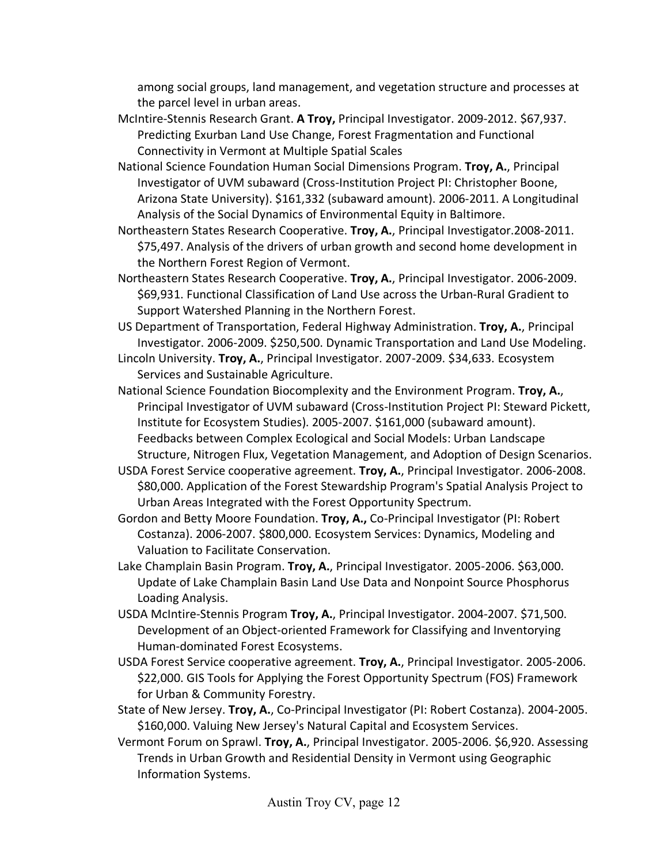among social groups, land management, and vegetation structure and processes at the parcel level in urban areas.

- McIntire-Stennis Research Grant. **A Troy,** Principal Investigator. 2009-2012. \$67,937. Predicting Exurban Land Use Change, Forest Fragmentation and Functional Connectivity in Vermont at Multiple Spatial Scales
- National Science Foundation Human Social Dimensions Program. **Troy, A.**, Principal Investigator of UVM subaward (Cross-Institution Project PI: Christopher Boone, Arizona State University). \$161,332 (subaward amount). 2006-2011. A Longitudinal Analysis of the Social Dynamics of Environmental Equity in Baltimore.
- Northeastern States Research Cooperative. **Troy, A.**, Principal Investigator.2008-2011. \$75,497. Analysis of the drivers of urban growth and second home development in the Northern Forest Region of Vermont.
- Northeastern States Research Cooperative. **Troy, A.**, Principal Investigator. 2006-2009. \$69,931. Functional Classification of Land Use across the Urban-Rural Gradient to Support Watershed Planning in the Northern Forest.
- US Department of Transportation, Federal Highway Administration. **Troy, A.**, Principal Investigator. 2006-2009. \$250,500. Dynamic Transportation and Land Use Modeling.
- Lincoln University. **Troy, A.**, Principal Investigator. 2007-2009. \$34,633. Ecosystem Services and Sustainable Agriculture.
- National Science Foundation Biocomplexity and the Environment Program. **Troy, A.**, Principal Investigator of UVM subaward (Cross-Institution Project PI: Steward Pickett, Institute for Ecosystem Studies). 2005-2007. \$161,000 (subaward amount). Feedbacks between Complex Ecological and Social Models: Urban Landscape Structure, Nitrogen Flux, Vegetation Management, and Adoption of Design Scenarios.
- USDA Forest Service cooperative agreement. **Troy, A.**, Principal Investigator. 2006-2008. \$80,000. Application of the Forest Stewardship Program's Spatial Analysis Project to Urban Areas Integrated with the Forest Opportunity Spectrum.
- Gordon and Betty Moore Foundation. **Troy, A.,** Co-Principal Investigator (PI: Robert Costanza). 2006-2007. \$800,000. Ecosystem Services: Dynamics, Modeling and Valuation to Facilitate Conservation.
- Lake Champlain Basin Program. **Troy, A.**, Principal Investigator. 2005-2006. \$63,000. Update of Lake Champlain Basin Land Use Data and Nonpoint Source Phosphorus Loading Analysis.
- USDA McIntire-Stennis Program **Troy, A.**, Principal Investigator. 2004-2007. \$71,500. Development of an Object-oriented Framework for Classifying and Inventorying Human-dominated Forest Ecosystems.
- USDA Forest Service cooperative agreement. **Troy, A.**, Principal Investigator. 2005-2006. \$22,000. GIS Tools for Applying the Forest Opportunity Spectrum (FOS) Framework for Urban & Community Forestry.
- State of New Jersey. **Troy, A.**, Co-Principal Investigator (PI: Robert Costanza). 2004-2005. \$160,000. Valuing New Jersey's Natural Capital and Ecosystem Services.
- Vermont Forum on Sprawl. **Troy, A.**, Principal Investigator. 2005-2006. \$6,920. Assessing Trends in Urban Growth and Residential Density in Vermont using Geographic Information Systems.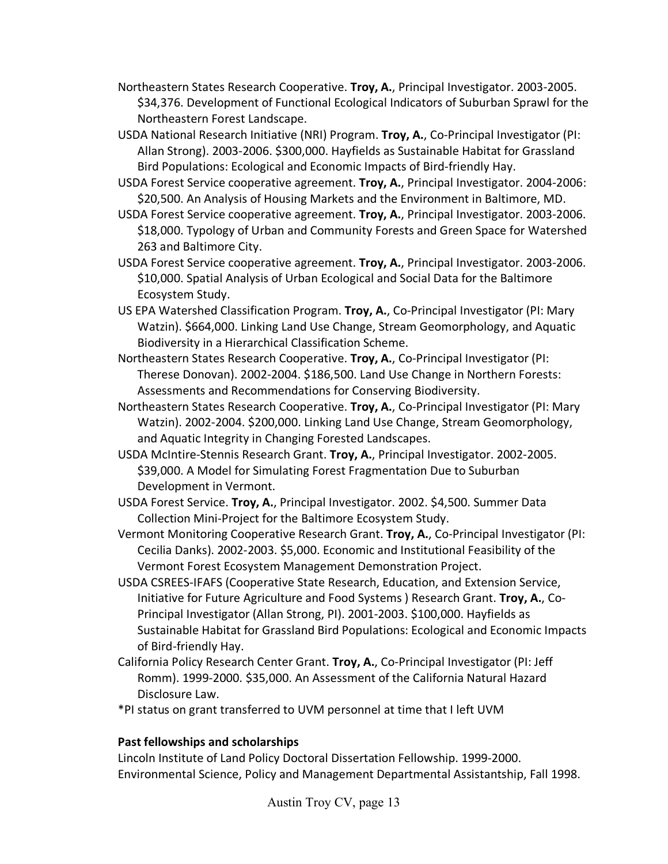- Northeastern States Research Cooperative. **Troy, A.**, Principal Investigator. 2003-2005. \$34,376. Development of Functional Ecological Indicators of Suburban Sprawl for the Northeastern Forest Landscape.
- USDA National Research Initiative (NRI) Program. **Troy, A.**, Co-Principal Investigator (PI: Allan Strong). 2003-2006. \$300,000. Hayfields as Sustainable Habitat for Grassland Bird Populations: Ecological and Economic Impacts of Bird-friendly Hay.
- USDA Forest Service cooperative agreement. **Troy, A.**, Principal Investigator. 2004-2006: \$20,500. An Analysis of Housing Markets and the Environment in Baltimore, MD.
- USDA Forest Service cooperative agreement. **Troy, A.**, Principal Investigator. 2003-2006. \$18,000. Typology of Urban and Community Forests and Green Space for Watershed 263 and Baltimore City.
- USDA Forest Service cooperative agreement. **Troy, A.**, Principal Investigator. 2003-2006. \$10,000. Spatial Analysis of Urban Ecological and Social Data for the Baltimore Ecosystem Study.
- US EPA Watershed Classification Program. **Troy, A.**, Co-Principal Investigator (PI: Mary Watzin). \$664,000. Linking Land Use Change, Stream Geomorphology, and Aquatic Biodiversity in a Hierarchical Classification Scheme.
- Northeastern States Research Cooperative. **Troy, A.**, Co-Principal Investigator (PI: Therese Donovan). 2002-2004. \$186,500. Land Use Change in Northern Forests: Assessments and Recommendations for Conserving Biodiversity.
- Northeastern States Research Cooperative. **Troy, A.**, Co-Principal Investigator (PI: Mary Watzin). 2002-2004. \$200,000. Linking Land Use Change, Stream Geomorphology, and Aquatic Integrity in Changing Forested Landscapes.
- USDA McIntire-Stennis Research Grant. **Troy, A.**, Principal Investigator. 2002-2005. \$39,000. A Model for Simulating Forest Fragmentation Due to Suburban Development in Vermont.
- USDA Forest Service. **Troy, A.**, Principal Investigator. 2002. \$4,500. Summer Data Collection Mini-Project for the Baltimore Ecosystem Study.
- Vermont Monitoring Cooperative Research Grant. **Troy, A.**, Co-Principal Investigator (PI: Cecilia Danks). 2002-2003. \$5,000. Economic and Institutional Feasibility of the Vermont Forest Ecosystem Management Demonstration Project.
- USDA CSREES-IFAFS (Cooperative State Research, Education, and Extension Service, Initiative for Future Agriculture and Food Systems ) Research Grant. **Troy, A.**, Co-Principal Investigator (Allan Strong, PI). 2001-2003. \$100,000. Hayfields as Sustainable Habitat for Grassland Bird Populations: Ecological and Economic Impacts of Bird-friendly Hay.
- California Policy Research Center Grant. **Troy, A.**, Co-Principal Investigator (PI: Jeff Romm). 1999-2000. \$35,000. An Assessment of the California Natural Hazard Disclosure Law.
- \*PI status on grant transferred to UVM personnel at time that I left UVM

#### **Past fellowships and scholarships**

Lincoln Institute of Land Policy Doctoral Dissertation Fellowship. 1999-2000. Environmental Science, Policy and Management Departmental Assistantship, Fall 1998.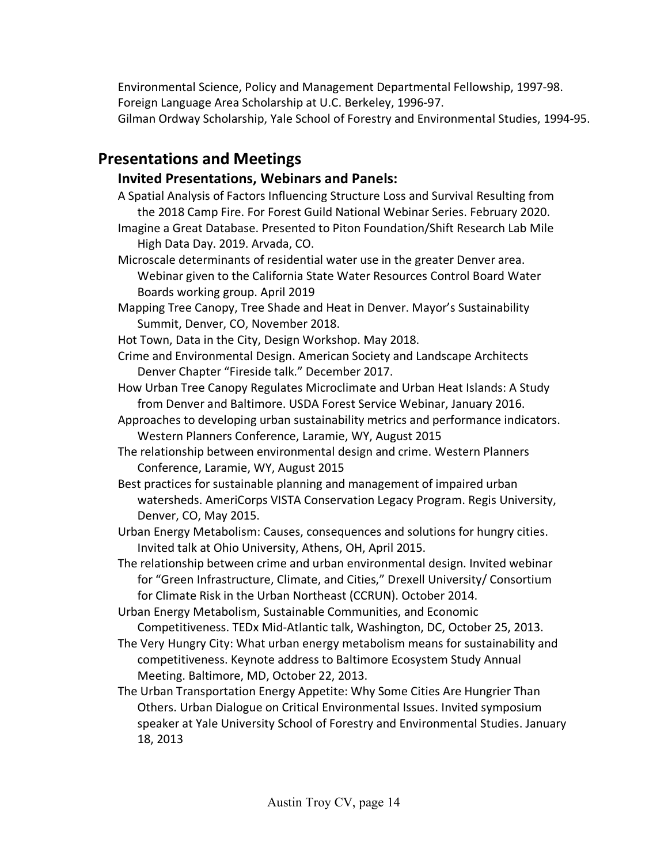Environmental Science, Policy and Management Departmental Fellowship, 1997-98. Foreign Language Area Scholarship at U.C. Berkeley, 1996-97. Gilman Ordway Scholarship, Yale School of Forestry and Environmental Studies, 1994-95.

# **Presentations and Meetings**

# **Invited Presentations, Webinars and Panels:**

- A Spatial Analysis of Factors Influencing Structure Loss and Survival Resulting from the 2018 Camp Fire. For Forest Guild National Webinar Series. February 2020. Imagine a Great Database. Presented to Piton Foundation/Shift Research Lab Mile High Data Day. 2019. Arvada, CO.
- Microscale determinants of residential water use in the greater Denver area. Webinar given to the California State Water Resources Control Board Water Boards working group. April 2019
- Mapping Tree Canopy, Tree Shade and Heat in Denver. Mayor's Sustainability Summit, Denver, CO, November 2018.
- Hot Town, Data in the City, Design Workshop. May 2018.
- Crime and Environmental Design. American Society and Landscape Architects Denver Chapter "Fireside talk." December 2017.
- How Urban Tree Canopy Regulates Microclimate and Urban Heat Islands: A Study from Denver and Baltimore. USDA Forest Service Webinar, January 2016.
- Approaches to developing urban sustainability metrics and performance indicators. Western Planners Conference, Laramie, WY, August 2015
- The relationship between environmental design and crime. Western Planners Conference, Laramie, WY, August 2015
- Best practices for sustainable planning and management of impaired urban watersheds. AmeriCorps VISTA Conservation Legacy Program. Regis University, Denver, CO, May 2015.
- Urban Energy Metabolism: Causes, consequences and solutions for hungry cities. Invited talk at Ohio University, Athens, OH, April 2015.
- The relationship between crime and urban environmental design. Invited webinar for "Green Infrastructure, Climate, and Cities," Drexell University/ Consortium for Climate Risk in the Urban Northeast (CCRUN). October 2014.
- Urban Energy Metabolism, Sustainable Communities, and Economic Competitiveness. TEDx Mid-Atlantic talk, Washington, DC, October 25, 2013.
- The Very Hungry City: What urban energy metabolism means for sustainability and competitiveness. Keynote address to Baltimore Ecosystem Study Annual Meeting. Baltimore, MD, October 22, 2013.
- The Urban Transportation Energy Appetite: Why Some Cities Are Hungrier Than Others. Urban Dialogue on Critical Environmental Issues. Invited symposium speaker at Yale University School of Forestry and Environmental Studies. January 18, 2013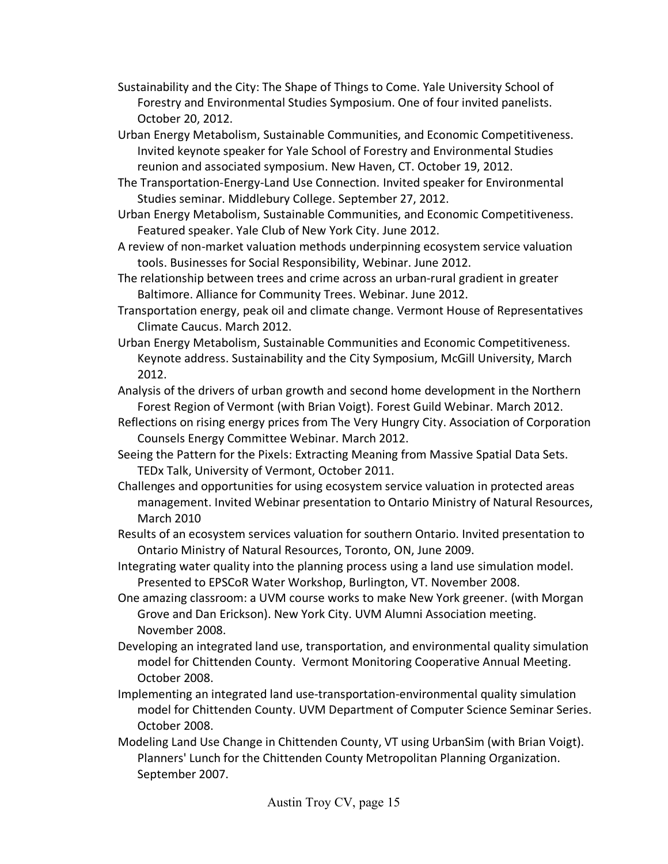- Sustainability and the City: The Shape of Things to Come. Yale University School of Forestry and Environmental Studies Symposium. One of four invited panelists. October 20, 2012.
- Urban Energy Metabolism, Sustainable Communities, and Economic Competitiveness. Invited keynote speaker for Yale School of Forestry and Environmental Studies reunion and associated symposium. New Haven, CT. October 19, 2012.
- The Transportation-Energy-Land Use Connection. Invited speaker for Environmental Studies seminar. Middlebury College. September 27, 2012.
- Urban Energy Metabolism, Sustainable Communities, and Economic Competitiveness. Featured speaker. Yale Club of New York City. June 2012.
- A review of non-market valuation methods underpinning ecosystem service valuation tools. Businesses for Social Responsibility, Webinar. June 2012.
- The relationship between trees and crime across an urban-rural gradient in greater Baltimore. Alliance for Community Trees. Webinar. June 2012.
- Transportation energy, peak oil and climate change. Vermont House of Representatives Climate Caucus. March 2012.
- Urban Energy Metabolism, Sustainable Communities and Economic Competitiveness. Keynote address. Sustainability and the City Symposium, McGill University, March 2012.
- Analysis of the drivers of urban growth and second home development in the Northern Forest Region of Vermont (with Brian Voigt). Forest Guild Webinar. March 2012.
- Reflections on rising energy prices from The Very Hungry City. Association of Corporation Counsels Energy Committee Webinar. March 2012.
- Seeing the Pattern for the Pixels: Extracting Meaning from Massive Spatial Data Sets. TEDx Talk, University of Vermont, October 2011.
- Challenges and opportunities for using ecosystem service valuation in protected areas management. Invited Webinar presentation to Ontario Ministry of Natural Resources, March 2010
- Results of an ecosystem services valuation for southern Ontario. Invited presentation to Ontario Ministry of Natural Resources, Toronto, ON, June 2009.
- Integrating water quality into the planning process using a land use simulation model. Presented to EPSCoR Water Workshop, Burlington, VT. November 2008.
- One amazing classroom: a UVM course works to make New York greener. (with Morgan Grove and Dan Erickson). New York City. UVM Alumni Association meeting. November 2008.
- Developing an integrated land use, transportation, and environmental quality simulation model for Chittenden County. Vermont Monitoring Cooperative Annual Meeting. October 2008.
- Implementing an integrated land use-transportation-environmental quality simulation model for Chittenden County. UVM Department of Computer Science Seminar Series. October 2008.
- Modeling Land Use Change in Chittenden County, VT using UrbanSim (with Brian Voigt). Planners' Lunch for the Chittenden County Metropolitan Planning Organization. September 2007.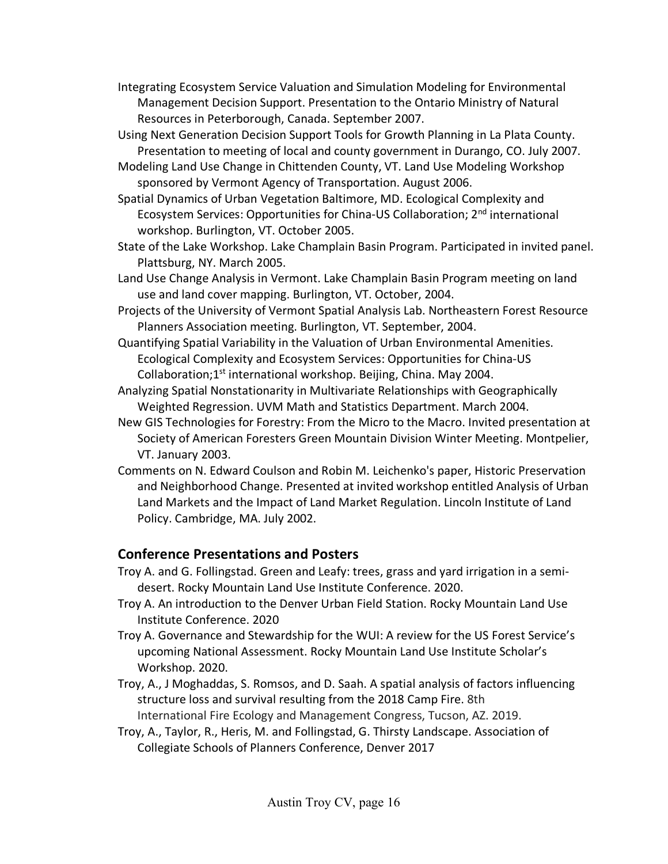- Integrating Ecosystem Service Valuation and Simulation Modeling for Environmental Management Decision Support. Presentation to the Ontario Ministry of Natural Resources in Peterborough, Canada. September 2007.
- Using Next Generation Decision Support Tools for Growth Planning in La Plata County. Presentation to meeting of local and county government in Durango, CO. July 2007.
- Modeling Land Use Change in Chittenden County, VT. Land Use Modeling Workshop sponsored by Vermont Agency of Transportation. August 2006.
- Spatial Dynamics of Urban Vegetation Baltimore, MD. Ecological Complexity and Ecosystem Services: Opportunities for China-US Collaboration; 2nd international workshop. Burlington, VT. October 2005.
- State of the Lake Workshop. Lake Champlain Basin Program. Participated in invited panel. Plattsburg, NY. March 2005.
- Land Use Change Analysis in Vermont. Lake Champlain Basin Program meeting on land use and land cover mapping. Burlington, VT. October, 2004.
- Projects of the University of Vermont Spatial Analysis Lab. Northeastern Forest Resource Planners Association meeting. Burlington, VT. September, 2004.
- Quantifying Spatial Variability in the Valuation of Urban Environmental Amenities. Ecological Complexity and Ecosystem Services: Opportunities for China-US Collaboration; $1^{st}$  international workshop. Beijing, China. May 2004.
- Analyzing Spatial Nonstationarity in Multivariate Relationships with Geographically Weighted Regression. UVM Math and Statistics Department. March 2004.
- New GIS Technologies for Forestry: From the Micro to the Macro. Invited presentation at Society of American Foresters Green Mountain Division Winter Meeting. Montpelier, VT. January 2003.
- Comments on N. Edward Coulson and Robin M. Leichenko's paper, Historic Preservation and Neighborhood Change. Presented at invited workshop entitled Analysis of Urban Land Markets and the Impact of Land Market Regulation. Lincoln Institute of Land Policy. Cambridge, MA. July 2002.

# **Conference Presentations and Posters**

- Troy A. and G. Follingstad. Green and Leafy: trees, grass and yard irrigation in a semidesert. Rocky Mountain Land Use Institute Conference. 2020.
- Troy A. An introduction to the Denver Urban Field Station. Rocky Mountain Land Use Institute Conference. 2020
- Troy A. Governance and Stewardship for the WUI: A review for the US Forest Service's upcoming National Assessment. Rocky Mountain Land Use Institute Scholar's Workshop. 2020.
- Troy, A., J Moghaddas, S. Romsos, and D. Saah. A spatial analysis of factors influencing structure loss and survival resulting from the 2018 Camp Fire. 8th International Fire Ecology and Management Congress, Tucson, AZ. 2019.
- Troy, A., Taylor, R., Heris, M. and Follingstad, G. Thirsty Landscape. Association of Collegiate Schools of Planners Conference, Denver 2017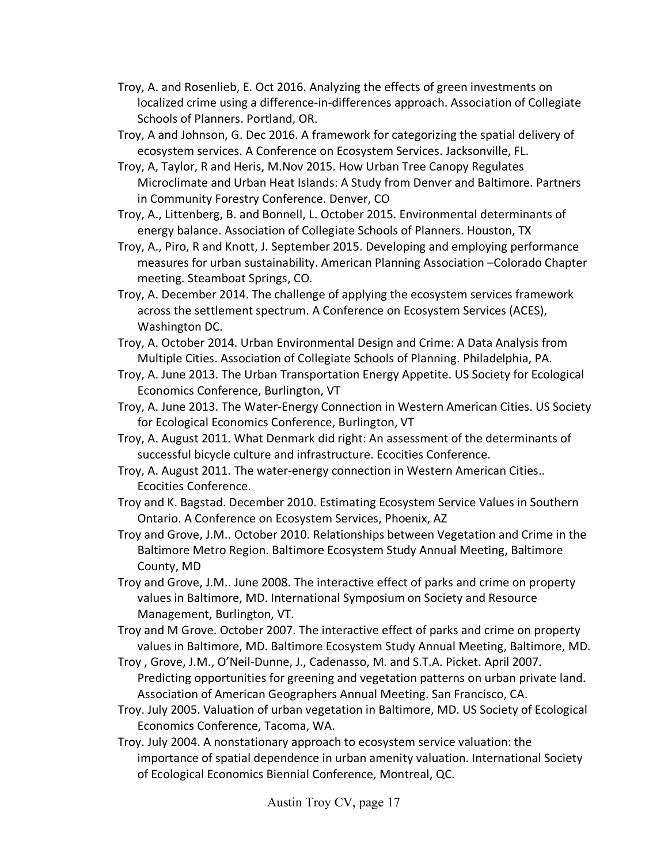- Troy, A. and Rosenlieb, E. Oct 2016. Analyzing the effects of green investments on localized crime using a difference-in-differences approach. Association of Collegiate Schools of Planners. Portland, OR.
- Troy, A and Johnson, G. Dec 2016. A framework for categorizing the spatial delivery of ecosystem services. A Conference on Ecosystem Services. Jacksonville, FL.
- Troy, A, Taylor, R and Heris, M.Nov 2015. How Urban Tree Canopy Regulates Microclimate and Urban Heat Islands: A Study from Denver and Baltimore. Partners in Community Forestry Conference. Denver, CO
- Troy, A., Littenberg, B. and Bonnell, L. October 2015. Environmental determinants of energy balance. Association of Collegiate Schools of Planners. Houston, TX
- Troy, A., Piro, R and Knott, J. September 2015. Developing and employing performance measures for urban sustainability. American Planning Association –Colorado Chapter meeting. Steamboat Springs, CO.
- Troy, A. December 2014. The challenge of applying the ecosystem services framework across the settlement spectrum. A Conference on Ecosystem Services (ACES), Washington DC.
- Troy, A. October 2014. Urban Environmental Design and Crime: A Data Analysis from Multiple Cities. Association of Collegiate Schools of Planning. Philadelphia, PA.
- Troy, A. June 2013. The Urban Transportation Energy Appetite. US Society for Ecological Economics Conference, Burlington, VT
- Troy, A. June 2013. The Water-Energy Connection in Western American Cities. US Society for Ecological Economics Conference, Burlington, VT
- Troy, A. August 2011. What Denmark did right: An assessment of the determinants of successful bicycle culture and infrastructure. Ecocities Conference.
- Troy, A. August 2011. The water-energy connection in Western American Cities.. Ecocities Conference.
- Troy and K. Bagstad. December 2010. Estimating Ecosystem Service Values in Southern Ontario. A Conference on Ecosystem Services, Phoenix, AZ
- Troy and Grove, J.M.. October 2010. Relationships between Vegetation and Crime in the Baltimore Metro Region. Baltimore Ecosystem Study Annual Meeting, Baltimore County, MD
- Troy and Grove, J.M.. June 2008. The interactive effect of parks and crime on property values in Baltimore, MD. International Symposium on Society and Resource Management, Burlington, VT.
- Troy and M Grove. October 2007. The interactive effect of parks and crime on property values in Baltimore, MD. Baltimore Ecosystem Study Annual Meeting, Baltimore, MD.
- Troy , Grove, J.M., O'Neil-Dunne, J., Cadenasso, M. and S.T.A. Picket. April 2007. Predicting opportunities for greening and vegetation patterns on urban private land. Association of American Geographers Annual Meeting. San Francisco, CA.
- Troy. July 2005. Valuation of urban vegetation in Baltimore, MD. US Society of Ecological Economics Conference, Tacoma, WA.
- Troy. July 2004. A nonstationary approach to ecosystem service valuation: the importance of spatial dependence in urban amenity valuation. International Society of Ecological Economics Biennial Conference, Montreal, QC.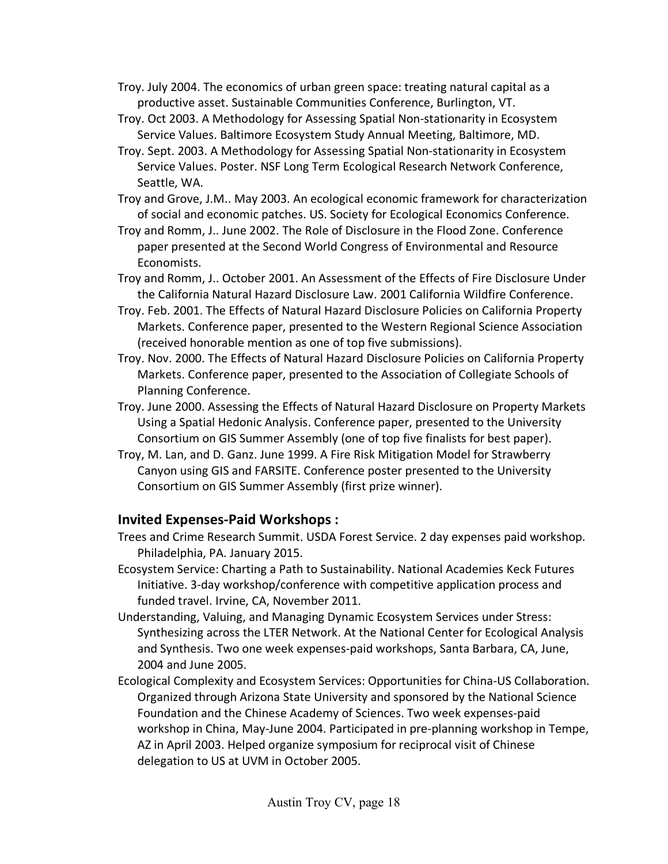- Troy. July 2004. The economics of urban green space: treating natural capital as a productive asset. Sustainable Communities Conference, Burlington, VT.
- Troy. Oct 2003. A Methodology for Assessing Spatial Non-stationarity in Ecosystem Service Values. Baltimore Ecosystem Study Annual Meeting, Baltimore, MD.
- Troy. Sept. 2003. A Methodology for Assessing Spatial Non-stationarity in Ecosystem Service Values. Poster. NSF Long Term Ecological Research Network Conference, Seattle, WA.
- Troy and Grove, J.M.. May 2003. An ecological economic framework for characterization of social and economic patches. US. Society for Ecological Economics Conference.
- Troy and Romm, J.. June 2002. The Role of Disclosure in the Flood Zone. Conference paper presented at the Second World Congress of Environmental and Resource Economists.
- Troy and Romm, J.. October 2001. An Assessment of the Effects of Fire Disclosure Under the California Natural Hazard Disclosure Law. 2001 California Wildfire Conference.
- Troy. Feb. 2001. The Effects of Natural Hazard Disclosure Policies on California Property Markets. Conference paper, presented to the Western Regional Science Association (received honorable mention as one of top five submissions).
- Troy. Nov. 2000. The Effects of Natural Hazard Disclosure Policies on California Property Markets. Conference paper, presented to the Association of Collegiate Schools of Planning Conference.
- Troy. June 2000. Assessing the Effects of Natural Hazard Disclosure on Property Markets Using a Spatial Hedonic Analysis. Conference paper, presented to the University Consortium on GIS Summer Assembly (one of top five finalists for best paper).
- Troy, M. Lan, and D. Ganz. June 1999. A Fire Risk Mitigation Model for Strawberry Canyon using GIS and FARSITE. Conference poster presented to the University Consortium on GIS Summer Assembly (first prize winner).

# **Invited Expenses-Paid Workshops :**

- Trees and Crime Research Summit. USDA Forest Service. 2 day expenses paid workshop. Philadelphia, PA. January 2015.
- Ecosystem Service: Charting a Path to Sustainability. National Academies Keck Futures Initiative. 3-day workshop/conference with competitive application process and funded travel. Irvine, CA, November 2011.
- Understanding, Valuing, and Managing Dynamic Ecosystem Services under Stress: Synthesizing across the LTER Network. At the National Center for Ecological Analysis and Synthesis. Two one week expenses-paid workshops, Santa Barbara, CA, June, 2004 and June 2005.
- Ecological Complexity and Ecosystem Services: Opportunities for China-US Collaboration. Organized through Arizona State University and sponsored by the National Science Foundation and the Chinese Academy of Sciences. Two week expenses-paid workshop in China, May-June 2004. Participated in pre-planning workshop in Tempe, AZ in April 2003. Helped organize symposium for reciprocal visit of Chinese delegation to US at UVM in October 2005.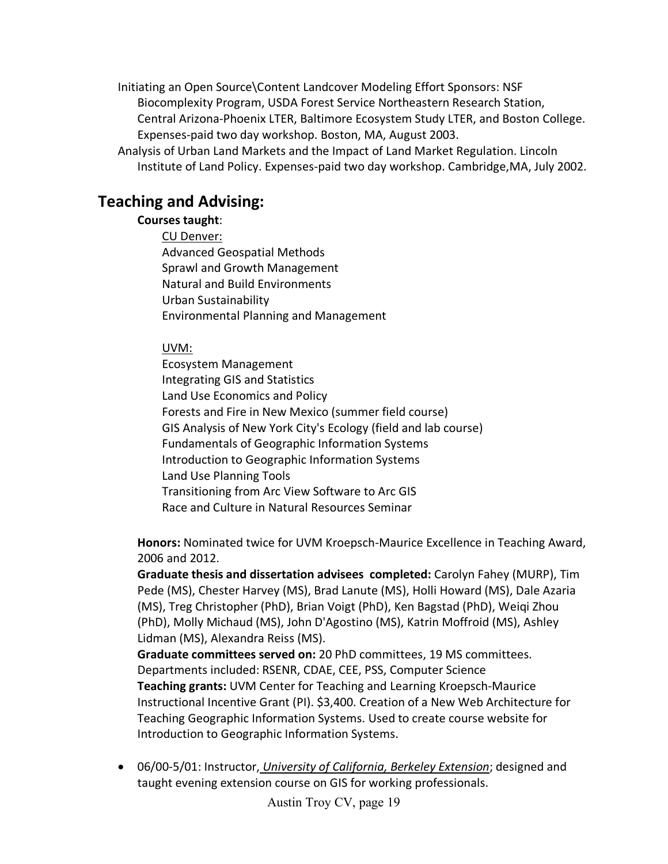Initiating an Open Source\Content Landcover Modeling Effort Sponsors: NSF Biocomplexity Program, USDA Forest Service Northeastern Research Station, Central Arizona-Phoenix LTER, Baltimore Ecosystem Study LTER, and Boston College. Expenses-paid two day workshop. Boston, MA, August 2003.

Analysis of Urban Land Markets and the Impact of Land Market Regulation. Lincoln Institute of Land Policy. Expenses-paid two day workshop. Cambridge,MA, July 2002.

# **Teaching and Advising:**

#### **Courses taught**:

CU Denver: Advanced Geospatial Methods Sprawl and Growth Management Natural and Build Environments Urban Sustainability Environmental Planning and Management

#### UVM:

Ecosystem Management Integrating GIS and Statistics Land Use Economics and Policy Forests and Fire in New Mexico (summer field course) GIS Analysis of New York City's Ecology (field and lab course) Fundamentals of Geographic Information Systems Introduction to Geographic Information Systems Land Use Planning Tools Transitioning from Arc View Software to Arc GIS Race and Culture in Natural Resources Seminar

**Honors:** Nominated twice for UVM Kroepsch-Maurice Excellence in Teaching Award, 2006 and 2012.

**Graduate thesis and dissertation advisees completed:** Carolyn Fahey (MURP), Tim Pede (MS), Chester Harvey (MS), Brad Lanute (MS), Holli Howard (MS), Dale Azaria (MS), Treg Christopher (PhD), Brian Voigt (PhD), Ken Bagstad (PhD), Weiqi Zhou (PhD), Molly Michaud (MS), John D'Agostino (MS), Katrin Moffroid (MS), Ashley Lidman (MS), Alexandra Reiss (MS).

**Graduate committees served on:** 20 PhD committees, 19 MS committees. Departments included: RSENR, CDAE, CEE, PSS, Computer Science **Teaching grants:** UVM Center for Teaching and Learning Kroepsch-Maurice Instructional Incentive Grant (PI). \$3,400. Creation of a New Web Architecture for Teaching Geographic Information Systems. Used to create course website for Introduction to Geographic Information Systems.

• 06/00-5/01: Instructor, *University of California, Berkeley Extension*; designed and taught evening extension course on GIS for working professionals.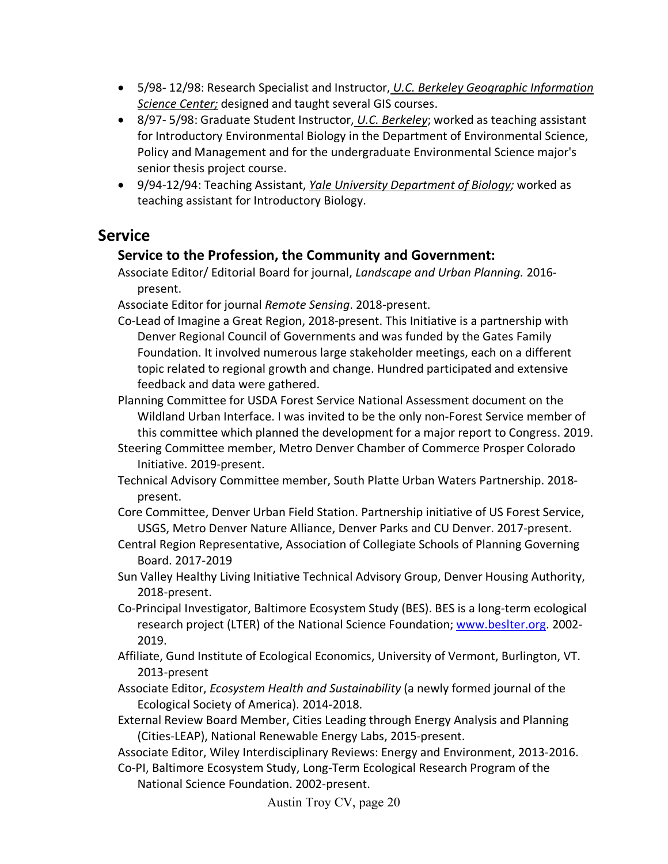- 5/98- 12/98: Research Specialist and Instructor, *U.C. Berkeley Geographic Information Science Center;* designed and taught several GIS courses.
- 8/97- 5/98: Graduate Student Instructor, *U.C. Berkeley*; worked as teaching assistant for Introductory Environmental Biology in the Department of Environmental Science, Policy and Management and for the undergraduate Environmental Science major's senior thesis project course.
- 9/94-12/94: Teaching Assistant, *Yale University Department of Biology;* worked as teaching assistant for Introductory Biology.

# **Service**

### **Service to the Profession, the Community and Government:**

Associate Editor/ Editorial Board for journal, *Landscape and Urban Planning.* 2016 present.

Associate Editor for journal *Remote Sensing*. 2018-present.

- Co-Lead of Imagine a Great Region, 2018-present. This Initiative is a partnership with Denver Regional Council of Governments and was funded by the Gates Family Foundation. It involved numerous large stakeholder meetings, each on a different topic related to regional growth and change. Hundred participated and extensive feedback and data were gathered.
- Planning Committee for USDA Forest Service National Assessment document on the Wildland Urban Interface. I was invited to be the only non-Forest Service member of this committee which planned the development for a major report to Congress. 2019.
- Steering Committee member, Metro Denver Chamber of Commerce Prosper Colorado Initiative. 2019-present.
- Technical Advisory Committee member, South Platte Urban Waters Partnership. 2018 present.
- Core Committee, Denver Urban Field Station. Partnership initiative of US Forest Service, USGS, Metro Denver Nature Alliance, Denver Parks and CU Denver. 2017-present.
- Central Region Representative, Association of Collegiate Schools of Planning Governing Board. 2017-2019
- Sun Valley Healthy Living Initiative Technical Advisory Group, Denver Housing Authority, 2018-present.
- Co-Principal Investigator, Baltimore Ecosystem Study (BES). BES is a long-term ecological research project (LTER) of the National Science Foundation; [www.beslter.org.](http://www.beslter.org/) 2002- 2019.
- Affiliate, Gund Institute of Ecological Economics, University of Vermont, Burlington, VT. 2013-present
- Associate Editor, *Ecosystem Health and Sustainability* (a newly formed journal of the Ecological Society of America). 2014-2018.
- External Review Board Member, Cities Leading through Energy Analysis and Planning (Cities-LEAP), National Renewable Energy Labs, 2015-present.
- Associate Editor, Wiley Interdisciplinary Reviews: Energy and Environment, 2013-2016.
- Co-PI, Baltimore Ecosystem Study, Long-Term Ecological Research Program of the National Science Foundation. 2002-present.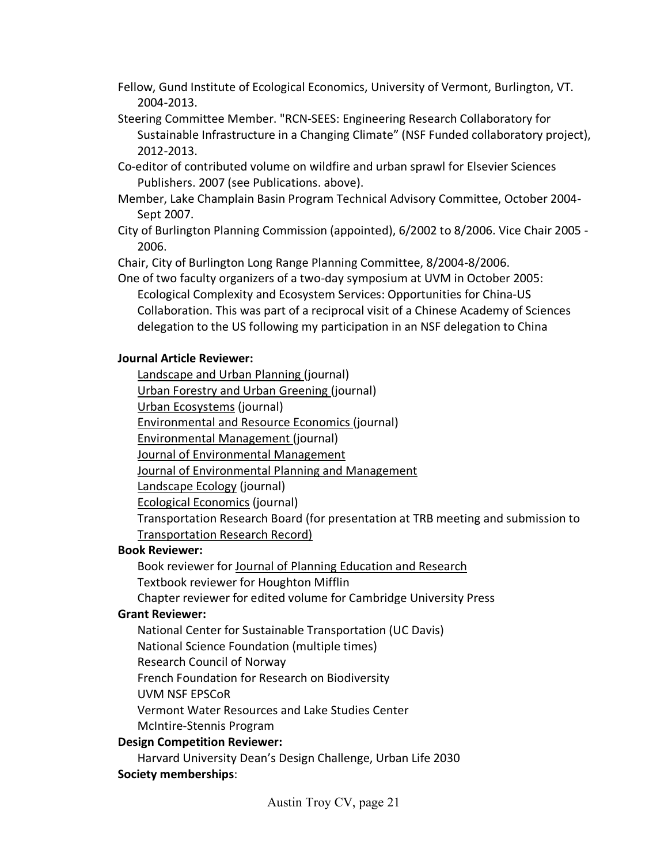- Fellow, Gund Institute of Ecological Economics, University of Vermont, Burlington, VT. 2004-2013.
- Steering Committee Member. "RCN-SEES: Engineering Research Collaboratory for Sustainable Infrastructure in a Changing Climate" (NSF Funded collaboratory project), 2012-2013.
- Co-editor of contributed volume on wildfire and urban sprawl for Elsevier Sciences Publishers. 2007 (see Publications. above).
- Member, Lake Champlain Basin Program Technical Advisory Committee, October 2004- Sept 2007.
- City of Burlington Planning Commission (appointed), 6/2002 to 8/2006. Vice Chair 2005 2006.

Chair, City of Burlington Long Range Planning Committee, 8/2004-8/2006.

One of two faculty organizers of a two-day symposium at UVM in October 2005: Ecological Complexity and Ecosystem Services: Opportunities for China-US Collaboration. This was part of a reciprocal visit of a Chinese Academy of Sciences delegation to the US following my participation in an NSF delegation to China

### **Journal Article Reviewer:**

Landscape and Urban Planning (journal)

Urban Forestry and Urban Greening (journal)

Urban Ecosystems (journal)

Environmental and Resource Economics (journal)

Environmental Management (journal)

Journal of Environmental Management

Journal of Environmental Planning and Management

Landscape Ecology (journal)

Ecological Economics (journal)

Transportation Research Board (for presentation at TRB meeting and submission to Transportation Research Record)

# **Book Reviewer:**

Book reviewer for Journal of Planning Education and Research Textbook reviewer for Houghton Mifflin

Chapter reviewer for edited volume for Cambridge University Press

# **Grant Reviewer:**

National Center for Sustainable Transportation (UC Davis)

National Science Foundation (multiple times)

Research Council of Norway

French Foundation for Research on Biodiversity

UVM NSF EPSCoR

Vermont Water Resources and Lake Studies Center

McIntire-Stennis Program

# **Design Competition Reviewer:**

Harvard University Dean's Design Challenge, Urban Life 2030 **Society memberships**: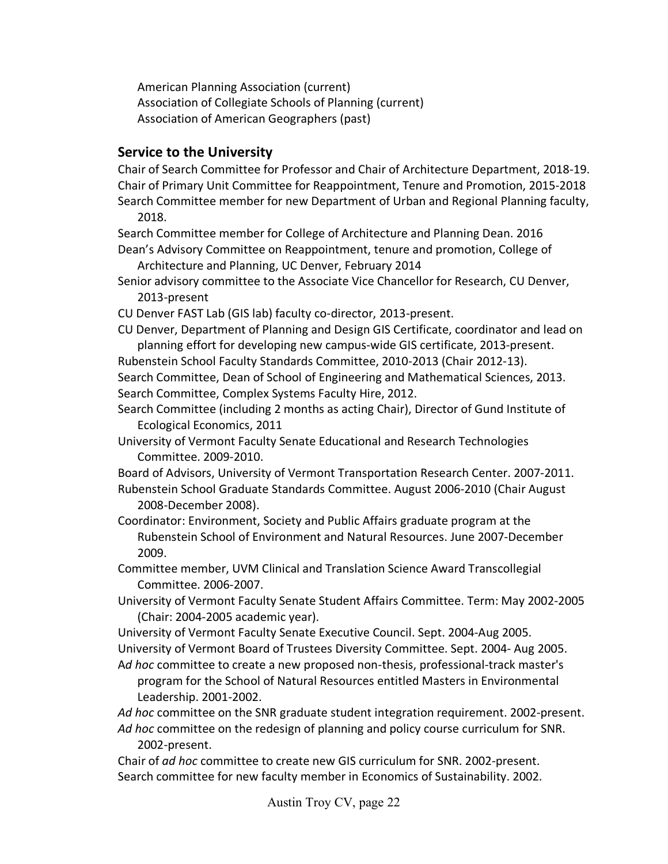American Planning Association (current) Association of Collegiate Schools of Planning (current) Association of American Geographers (past)

### **Service to the University**

Chair of Search Committee for Professor and Chair of Architecture Department, 2018-19. Chair of Primary Unit Committee for Reappointment, Tenure and Promotion, 2015-2018 Search Committee member for new Department of Urban and Regional Planning faculty, 2018.

Search Committee member for College of Architecture and Planning Dean. 2016 Dean's Advisory Committee on Reappointment, tenure and promotion, College of

Architecture and Planning, UC Denver, February 2014

- Senior advisory committee to the Associate Vice Chancellor for Research, CU Denver, 2013-present
- CU Denver FAST Lab (GIS lab) faculty co-director, 2013-present.
- CU Denver, Department of Planning and Design GIS Certificate, coordinator and lead on planning effort for developing new campus-wide GIS certificate, 2013-present.

Rubenstein School Faculty Standards Committee, 2010-2013 (Chair 2012-13).

Search Committee, Dean of School of Engineering and Mathematical Sciences, 2013. Search Committee, Complex Systems Faculty Hire, 2012.

Search Committee (including 2 months as acting Chair), Director of Gund Institute of Ecological Economics, 2011

University of Vermont Faculty Senate Educational and Research Technologies Committee. 2009-2010.

Board of Advisors, University of Vermont Transportation Research Center. 2007-2011.

Rubenstein School Graduate Standards Committee. August 2006-2010 (Chair August 2008-December 2008).

Coordinator: Environment, Society and Public Affairs graduate program at the Rubenstein School of Environment and Natural Resources. June 2007-December 2009.

Committee member, UVM Clinical and Translation Science Award Transcollegial Committee. 2006-2007.

University of Vermont Faculty Senate Student Affairs Committee. Term: May 2002-2005 (Chair: 2004-2005 academic year).

University of Vermont Faculty Senate Executive Council. Sept. 2004-Aug 2005. University of Vermont Board of Trustees Diversity Committee. Sept. 2004- Aug 2005.

A*d hoc* committee to create a new proposed non-thesis, professional-track master's program for the School of Natural Resources entitled Masters in Environmental Leadership. 2001-2002.

*Ad hoc* committee on the SNR graduate student integration requirement. 2002-present. *Ad hoc* committee on the redesign of planning and policy course curriculum for SNR. 2002-present.

Chair of *ad hoc* committee to create new GIS curriculum for SNR. 2002-present. Search committee for new faculty member in Economics of Sustainability. 2002.